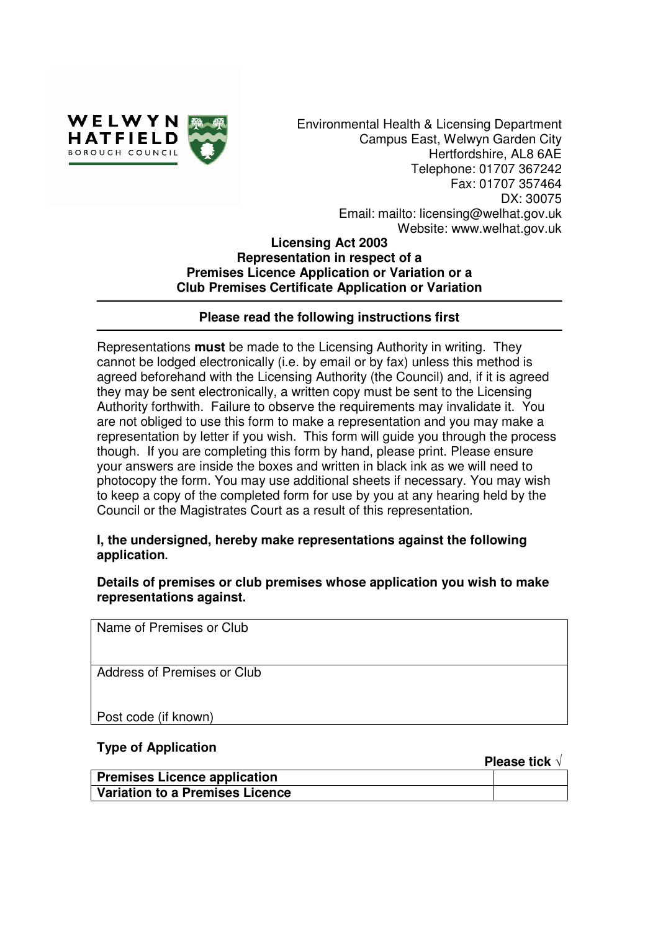

Environmental Health & Licensing Department Campus East, Welwyn Garden City Hertfordshire, AL8 6AE Telephone: 01707 367242 Fax: 01707 357464 DX: 30075 Email: mailto: licensing@welhat.gov.uk Website: www.welhat.gov.uk

#### **Licensing Act 2003 Representation in respect of a Premises Licence Application or Variation or a Club Premises Certificate Application or Variation**

# **Please read the following instructions first**

Representations **must** be made to the Licensing Authority in writing. They cannot be lodged electronically (i.e. by email or by fax) unless this method is agreed beforehand with the Licensing Authority (the Council) and, if it is agreed they may be sent electronically, a written copy must be sent to the Licensing Authority forthwith. Failure to observe the requirements may invalidate it. You are not obliged to use this form to make a representation and you may make a representation by letter if you wish. This form will guide you through the process though. If you are completing this form by hand, please print. Please ensure your answers are inside the boxes and written in black ink as we will need to photocopy the form. You may use additional sheets if necessary. You may wish to keep a copy of the completed form for use by you at any hearing held by the Council or the Magistrates Court as a result of this representation.

### **I, the undersigned, hereby make representations against the following application.**

**Details of premises or club premises whose application you wish to make representations against.** 

Name of Premises or Club

Address of Premises or Club

Post code (if known)

#### **Type of Application**

**Please tick** √

| <b>Premises Licence application</b> |  |
|-------------------------------------|--|
| Variation to a Premises Licence     |  |
|                                     |  |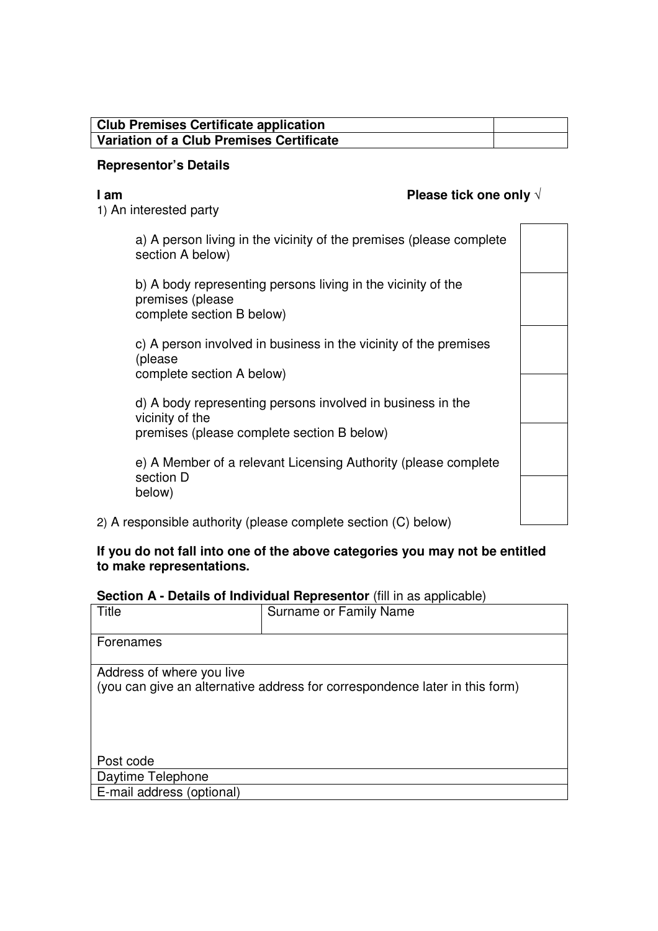# **Club Premises Certificate application Variation of a Club Premises Certificate**

#### **Representor's Details**

# **I am Please tick one only** √

1) An interested party

a) A person living in the vicinity of the premises (please complete section A below)

b) A body representing persons living in the vicinity of the premises (please complete section B below)

c) A person involved in business in the vicinity of the premises (please complete section A below)

d) A body representing persons involved in business in the vicinity of the premises (please complete section B below)

e) A Member of a relevant Licensing Authority (please complete section D below)

2) A responsible authority (please complete section (C) below)

# **If you do not fall into one of the above categories you may not be entitled to make representations.**

# **Section A - Details of Individual Representor** (fill in as applicable)

| Title                                                                       | Surname or Family Name |  |  |
|-----------------------------------------------------------------------------|------------------------|--|--|
|                                                                             |                        |  |  |
| Forenames                                                                   |                        |  |  |
|                                                                             |                        |  |  |
| Address of where you live                                                   |                        |  |  |
| (you can give an alternative address for correspondence later in this form) |                        |  |  |
|                                                                             |                        |  |  |
|                                                                             |                        |  |  |
|                                                                             |                        |  |  |
|                                                                             |                        |  |  |
|                                                                             |                        |  |  |
| Post code                                                                   |                        |  |  |
| Daytime Telephone                                                           |                        |  |  |
| E-mail address (optional)                                                   |                        |  |  |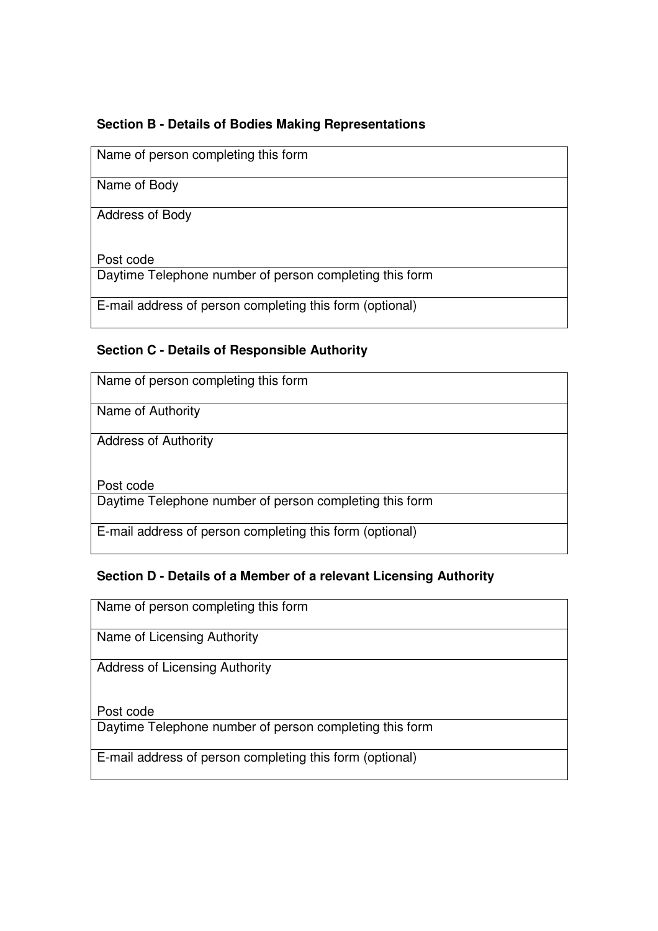# **Section B - Details of Bodies Making Representations**

Name of person completing this form

Name of Body

Address of Body

Post code

Daytime Telephone number of person completing this form

E-mail address of person completing this form (optional)

# **Section C - Details of Responsible Authority**

| Name of person completing this form                      |
|----------------------------------------------------------|
| Name of Authority                                        |
| <b>Address of Authority</b>                              |
| Post code                                                |
| Daytime Telephone number of person completing this form  |
| E-mail address of person completing this form (optional) |

# **Section D - Details of a Member of a relevant Licensing Authority**

Name of person completing this form

Name of Licensing Authority

Address of Licensing Authority

Post code

Daytime Telephone number of person completing this form

E-mail address of person completing this form (optional)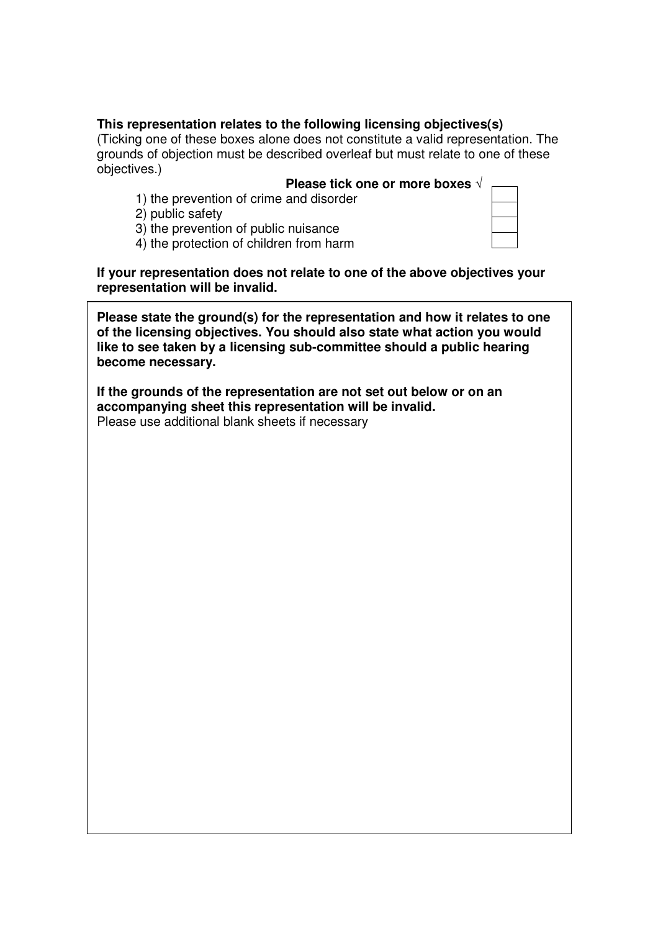# **This representation relates to the following licensing objectives(s)**

(Ticking one of these boxes alone does not constitute a valid representation. The grounds of objection must be described overleaf but must relate to one of these objectives.)

- **Please tick one or more boxes** √
- 1) the prevention of crime and disorder
- 2) public safety
- 3) the prevention of public nuisance
- 4) the protection of children from harm

**If your representation does not relate to one of the above objectives your representation will be invalid.** 

**Please state the ground(s) for the representation and how it relates to one of the licensing objectives. You should also state what action you would like to see taken by a licensing sub-committee should a public hearing become necessary.** 

**If the grounds of the representation are not set out below or on an accompanying sheet this representation will be invalid.**  Please use additional blank sheets if necessary